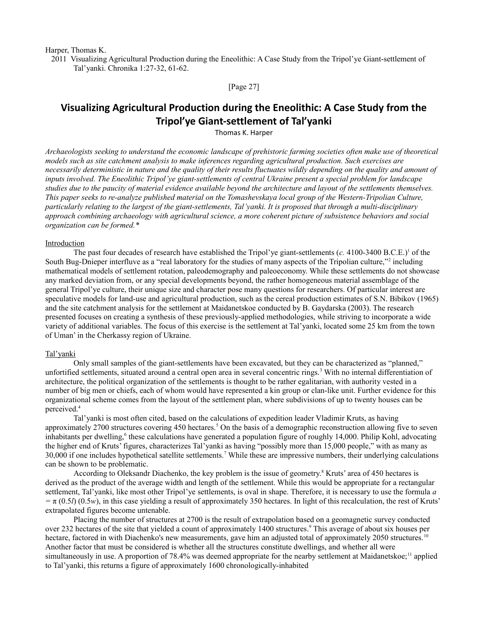Harper, Thomas K.

 2011 Visualizing Agricultural Production during the Eneolithic: A Case Study from the Tripol'ye Giant-settlement of Tal'yanki. Chronika 1:27-32, 61-62.

[Page 27]

# **Visualizing Agricultural Production during the Eneolithic: A Case Study from the Tripol'ye Giant‐settlement of Tal'yanki**

Thomas K. Harper

*Archaeologists seeking to understand the economic landscape of prehistoric farming societies often make use of theoretical models such as site catchment analysis to make inferences regarding agricultural production. Such exercises are necessarily deterministic in nature and the quality of their results fluctuates wildly depending on the quality and amount of inputs involved. The Eneolithic Tripol'ye giant-settlements of central Ukraine present a special problem for landscape studies due to the paucity of material evidence available beyond the architecture and layout of the settlements themselves. This paper seeks to re-analyze published material on the Tomashevskaya local group of the Western-Tripolian Culture, particularly relating to the largest of the giant-settlements, Tal'yanki. It is proposed that through a multi-disciplinary approach combining archaeology with agricultural science, a more coherent picture of subsistence behaviors and social organization can be formed.\**

#### Introduction

The past four decades of research have established the Tripol'ye giant-settlements  $(c. 4100-3400 \text{ B.C.E.})$ <sup>1</sup> of the South Bug-Dnieper interfluve as a "real laboratory for the studies of many aspects of the Tripolian culture,"<sup>2</sup> including mathematical models of settlement rotation, paleodemography and paleoeconomy. While these settlements do not showcase any marked deviation from, or any special developments beyond, the rather homogeneous material assemblage of the general Tripol'ye culture, their unique size and character pose many questions for researchers. Of particular interest are speculative models for land-use and agricultural production, such as the cereal production estimates of S.N. Bibikov (1965) and the site catchment analysis for the settlement at Maidanetskoe conducted by B. Gaydarska (2003). The research presented focuses on creating a synthesis of these previously-applied methodologies, while striving to incorporate a wide variety of additional variables. The focus of this exercise is the settlement at Tal'yanki, located some 25 km from the town of Uman' in the Cherkassy region of Ukraine.

#### Tal'yanki

Only small samples of the giant-settlements have been excavated, but they can be characterized as "planned," unfortified settlements, situated around a central open area in several concentric rings.<sup>3</sup> With no internal differentiation of architecture, the political organization of the settlements is thought to be rather egalitarian, with authority vested in a number of big men or chiefs, each of whom would have represented a kin group or clan-like unit. Further evidence for this organizational scheme comes from the layout of the settlement plan, where subdivisions of up to twenty houses can be perceived.<sup>4</sup>

Tal'yanki is most often cited, based on the calculations of expedition leader Vladimir Kruts, as having approximately 2700 structures covering 450 hectares.<sup>5</sup> On the basis of a demographic reconstruction allowing five to seven inhabitants per dwelling,<sup>6</sup> these calculations have generated a population figure of roughly 14,000. Philip Kohl, advocating the higher end of Kruts' figures, characterizes Tal'yanki as having "possibly more than 15,000 people," with as many as 30,000 if one includes hypothetical satellite settlements.<sup>7</sup> While these are impressive numbers, their underlying calculations can be shown to be problematic.

According to Oleksandr Diachenko, the key problem is the issue of geometry.<sup>8</sup> Kruts' area of 450 hectares is derived as the product of the average width and length of the settlement. While this would be appropriate for a rectangular settlement, Tal'yanki, like most other Tripol'ye settlements, is oval in shape. Therefore, it is necessary to use the formula *a*  $=\pi (0.5l) (0.5w)$ , in this case yielding a result of approximately 350 hectares. In light of this recalculation, the rest of Kruts' extrapolated figures become untenable.

Placing the number of structures at 2700 is the result of extrapolation based on a geomagnetic survey conducted over 232 hectares of the site that yielded a count of approximately 1400 structures.<sup>9</sup> This average of about six houses per hectare, factored in with Diachenko's new measurements, gave him an adjusted total of approximately 2050 structures.<sup>10</sup> Another factor that must be considered is whether all the structures constitute dwellings, and whether all were simultaneously in use. A proportion of 78.4% was deemed appropriate for the nearby settlement at Maidanetskoe;<sup>11</sup> applied to Tal'yanki, this returns a figure of approximately 1600 chronologically-inhabited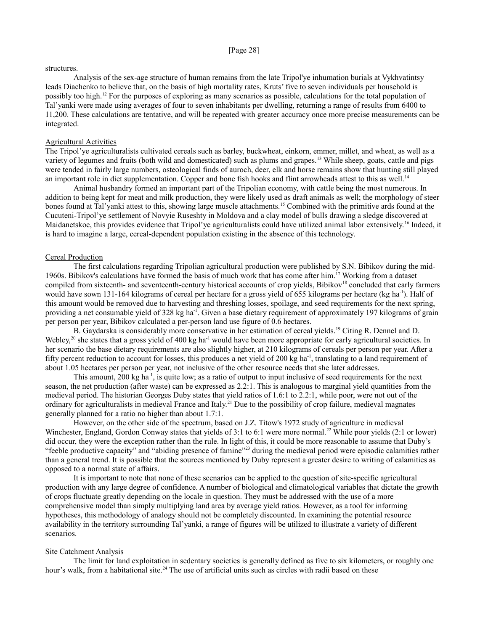#### [Page 28]

#### structures.

Analysis of the sex-age structure of human remains from the late Tripol'ye inhumation burials at Vykhvatintsy leads Diachenko to believe that, on the basis of high mortality rates, Kruts' five to seven individuals per household is possibly too high.<sup>12</sup> For the purposes of exploring as many scenarios as possible, calculations for the total population of Tal'yanki were made using averages of four to seven inhabitants per dwelling, returning a range of results from 6400 to 11,200. These calculations are tentative, and will be repeated with greater accuracy once more precise measurements can be integrated.

## Agricultural Activities

The Tripol'ye agriculturalists cultivated cereals such as barley, buckwheat, einkorn, emmer, millet, and wheat, as well as a variety of legumes and fruits (both wild and domesticated) such as plums and grapes.<sup>13</sup> While sheep, goats, cattle and pigs were tended in fairly large numbers, osteological finds of auroch, deer, elk and horse remains show that hunting still played an important role in diet supplementation. Copper and bone fish hooks and flint arrowheads attest to this as well.<sup>14</sup>

Animal husbandry formed an important part of the Tripolian economy, with cattle being the most numerous. In addition to being kept for meat and milk production, they were likely used as draft animals as well; the morphology of steer bones found at Tal'yanki attest to this, showing large muscle attachments.<sup>15</sup> Combined with the primitive ards found at the Cucuteni-Tripol'ye settlement of Novyie Ruseshty in Moldova and a clay model of bulls drawing a sledge discovered at Maidanetskoe, this provides evidence that Tripol'ye agriculturalists could have utilized animal labor extensively.<sup>16</sup> Indeed, it is hard to imagine a large, cereal-dependent population existing in the absence of this technology.

### Cereal Production

The first calculations regarding Tripolian agricultural production were published by S.N. Bibikov during the mid-1960s. Bibikov's calculations have formed the basis of much work that has come after him.<sup>17</sup> Working from a dataset compiled from sixteenth- and seventeenth-century historical accounts of crop yields, Bibikov<sup>18</sup> concluded that early farmers would have sown 131-164 kilograms of cereal per hectare for a gross yield of 655 kilograms per hectare (kg ha<sup>-1</sup>). Half of this amount would be removed due to harvesting and threshing losses, spoilage, and seed requirements for the next spring, providing a net consumable yield of 328 kg ha<sup>-1</sup>. Given a base dietary requirement of approximately 197 kilograms of grain per person per year, Bibikov calculated a per-person land use figure of 0.6 hectares.

B. Gaydarska is considerably more conservative in her estimation of cereal yields.<sup>19</sup> Citing R. Dennel and D. Webley,<sup>20</sup> she states that a gross yield of 400 kg ha<sup>-1</sup> would have been more appropriate for early agricultural societies. In her scenario the base dietary requirements are also slightly higher, at 210 kilograms of cereals per person per year. After a fifty percent reduction to account for losses, this produces a net yield of 200 kg ha<sup>-1</sup>, translating to a land requirement of about 1.05 hectares per person per year, not inclusive of the other resource needs that she later addresses.

This amount, 200 kg ha<sup>-1</sup>, is quite low; as a ratio of output to input inclusive of seed requirements for the next season, the net production (after waste) can be expressed as 2.2:1. This is analogous to marginal yield quantities from the medieval period. The historian Georges Duby states that yield ratios of 1.6:1 to 2.2:1, while poor, were not out of the ordinary for agriculturalists in medieval France and Italy.<sup>21</sup> Due to the possibility of crop failure, medieval magnates generally planned for a ratio no higher than about 1.7:1.

However, on the other side of the spectrum, based on J.Z. Titow's 1972 study of agriculture in medieval Winchester, England, Gordon Conway states that yields of 3:1 to 6:1 were more normal.<sup>22</sup> While poor yields  $(2:1 \text{ or lower})$ did occur, they were the exception rather than the rule. In light of this, it could be more reasonable to assume that Duby's "feeble productive capacity" and "abiding presence of famine"<sup>23</sup> during the medieval period were episodic calamities rather than a general trend. It is possible that the sources mentioned by Duby represent a greater desire to writing of calamities as opposed to a normal state of affairs.

It is important to note that none of these scenarios can be applied to the question of site-specific agricultural production with any large degree of confidence. A number of biological and climatological variables that dictate the growth of crops fluctuate greatly depending on the locale in question. They must be addressed with the use of a more comprehensive model than simply multiplying land area by average yield ratios. However, as a tool for informing hypotheses, this methodology of analogy should not be completely discounted. In examining the potential resource availability in the territory surrounding Tal'yanki, a range of figures will be utilized to illustrate a variety of different scenarios.

## Site Catchment Analysis

The limit for land exploitation in sedentary societies is generally defined as five to six kilometers, or roughly one hour's walk, from a habitational site.<sup>24</sup> The use of artificial units such as circles with radii based on these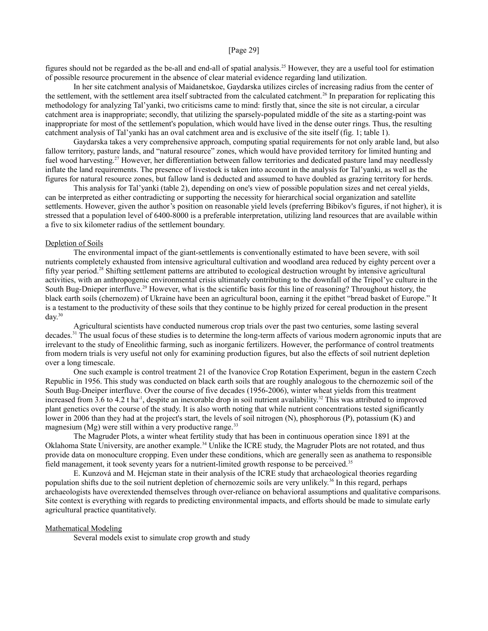## [Page 29]

figures should not be regarded as the be-all and end-all of spatial analysis.<sup>25</sup> However, they are a useful tool for estimation of possible resource procurement in the absence of clear material evidence regarding land utilization.

In her site catchment analysis of Maidanetskoe, Gaydarska utilizes circles of increasing radius from the center of the settlement, with the settlement area itself subtracted from the calculated catchment.<sup>26</sup> In preparation for replicating this methodology for analyzing Tal'yanki, two criticisms came to mind: firstly that, since the site is not circular, a circular catchment area is inappropriate; secondly, that utilizing the sparsely-populated middle of the site as a starting-point was inappropriate for most of the settlement's population, which would have lived in the dense outer rings. Thus, the resulting catchment analysis of Tal'yanki has an oval catchment area and is exclusive of the site itself (fig. 1; table 1).

Gaydarska takes a very comprehensive approach, computing spatial requirements for not only arable land, but also fallow territory, pasture lands, and "natural resource" zones, which would have provided territory for limited hunting and fuel wood harvesting.<sup>27</sup> However, her differentiation between fallow territories and dedicated pasture land may needlessly inflate the land requirements. The presence of livestock is taken into account in the analysis for Tal'yanki, as well as the figures for natural resource zones, but fallow land is deducted and assumed to have doubled as grazing territory for herds.

This analysis for Tal'yanki (table 2), depending on one's view of possible population sizes and net cereal yields, can be interpreted as either contradicting or supporting the necessity for hierarchical social organization and satellite settlements. However, given the author's position on reasonable yield levels (preferring Bibikov's figures, if not higher), it is stressed that a population level of 6400-8000 is a preferable interpretation, utilizing land resources that are available within a five to six kilometer radius of the settlement boundary.

## Depletion of Soils

The environmental impact of the giant-settlements is conventionally estimated to have been severe, with soil nutrients completely exhausted from intensive agricultural cultivation and woodland area reduced by eighty percent over a fifty year period.<sup>28</sup> Shifting settlement patterns are attributed to ecological destruction wrought by intensive agricultural activities, with an anthropogenic environmental crisis ultimately contributing to the downfall of the Tripol'ye culture in the South Bug-Dnieper interfluve.<sup>29</sup> However, what is the scientific basis for this line of reasoning? Throughout history, the black earth soils (chernozem) of Ukraine have been an agricultural boon, earning it the epithet "bread basket of Europe." It is a testament to the productivity of these soils that they continue to be highly prized for cereal production in the present day.<sup>30</sup>

Agricultural scientists have conducted numerous crop trials over the past two centuries, some lasting several decades.<sup>31</sup> The usual focus of these studies is to determine the long-term affects of various modern agronomic inputs that are irrelevant to the study of Eneolithic farming, such as inorganic fertilizers. However, the performance of control treatments from modern trials is very useful not only for examining production figures, but also the effects of soil nutrient depletion over a long timescale.

One such example is control treatment 21 of the Ivanovice Crop Rotation Experiment, begun in the eastern Czech Republic in 1956. This study was conducted on black earth soils that are roughly analogous to the chernozemic soil of the South Bug-Dneiper interfluve. Over the course of five decades (1956-2006), winter wheat yields from this treatment increased from 3.6 to 4.2 t ha<sup>-1</sup>, despite an inexorable drop in soil nutrient availability.<sup>32</sup> This was attributed to improved plant genetics over the course of the study. It is also worth noting that while nutrient concentrations tested significantly lower in 2006 than they had at the project's start, the levels of soil nitrogen (N), phosphorous (P), potassium (K) and magnesium (Mg) were still within a very productive range.<sup>33</sup>

The Magruder Plots, a winter wheat fertility study that has been in continuous operation since 1891 at the Oklahoma State University, are another example.<sup>34</sup> Unlike the ICRE study, the Magruder Plots are not rotated, and thus provide data on monoculture cropping. Even under these conditions, which are generally seen as anathema to responsible field management, it took seventy years for a nutrient-limited growth response to be perceived.<sup>35</sup>

E. Kunzová and M. Hejcman state in their analysis of the ICRE study that archaeological theories regarding population shifts due to the soil nutrient depletion of chernozemic soils are very unlikely.<sup>36</sup> In this regard, perhaps archaeologists have overextended themselves through over-reliance on behavioral assumptions and qualitative comparisons. Site context is everything with regards to predicting environmental impacts, and efforts should be made to simulate early agricultural practice quantitatively.

#### Mathematical Modeling

Several models exist to simulate crop growth and study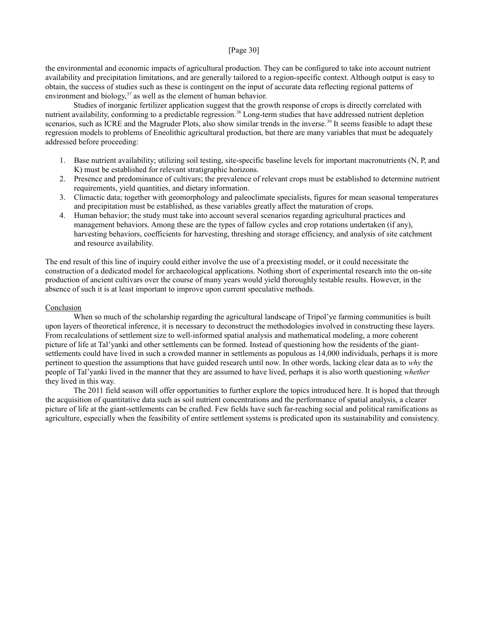## [Page 30]

the environmental and economic impacts of agricultural production. They can be configured to take into account nutrient availability and precipitation limitations, and are generally tailored to a region-specific context. Although output is easy to obtain, the success of studies such as these is contingent on the input of accurate data reflecting regional patterns of environment and biology,  $37$  as well as the element of human behavior.

Studies of inorganic fertilizer application suggest that the growth response of crops is directly correlated with nutrient availability, conforming to a predictable regression.<sup>38</sup> Long-term studies that have addressed nutrient depletion scenarios, such as ICRE and the Magruder Plots, also show similar trends in the inverse.<sup>39</sup> It seems feasible to adapt these regression models to problems of Eneolithic agricultural production, but there are many variables that must be adequately addressed before proceeding:

- 1. Base nutrient availability; utilizing soil testing, site-specific baseline levels for important macronutrients (N, P, and K) must be established for relevant stratigraphic horizons.
- 2. Presence and predominance of cultivars; the prevalence of relevant crops must be established to determine nutrient requirements, yield quantities, and dietary information.
- 3. Climactic data; together with geomorphology and paleoclimate specialists, figures for mean seasonal temperatures and precipitation must be established, as these variables greatly affect the maturation of crops.
- 4. Human behavior; the study must take into account several scenarios regarding agricultural practices and management behaviors. Among these are the types of fallow cycles and crop rotations undertaken (if any), harvesting behaviors, coefficients for harvesting, threshing and storage efficiency, and analysis of site catchment and resource availability.

The end result of this line of inquiry could either involve the use of a preexisting model, or it could necessitate the construction of a dedicated model for archaeological applications. Nothing short of experimental research into the on-site production of ancient cultivars over the course of many years would yield thoroughly testable results. However, in the absence of such it is at least important to improve upon current speculative methods.

## Conclusion

When so much of the scholarship regarding the agricultural landscape of Tripol'ye farming communities is built upon layers of theoretical inference, it is necessary to deconstruct the methodologies involved in constructing these layers. From recalculations of settlement size to well-informed spatial analysis and mathematical modeling, a more coherent picture of life at Tal'yanki and other settlements can be formed. Instead of questioning how the residents of the giantsettlements could have lived in such a crowded manner in settlements as populous as 14,000 individuals, perhaps it is more pertinent to question the assumptions that have guided research until now. In other words, lacking clear data as to *why* the people of Tal'yanki lived in the manner that they are assumed to have lived, perhaps it is also worth questioning *whether* they lived in this way.

The 2011 field season will offer opportunities to further explore the topics introduced here. It is hoped that through the acquisition of quantitative data such as soil nutrient concentrations and the performance of spatial analysis, a clearer picture of life at the giant-settlements can be crafted. Few fields have such far-reaching social and political ramifications as agriculture, especially when the feasibility of entire settlement systems is predicated upon its sustainability and consistency.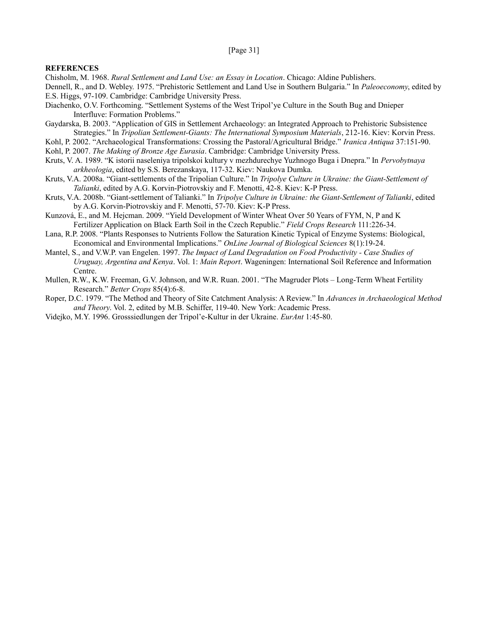#### [Page 31]

### **REFERENCES**

Chisholm, M. 1968. *Rural Settlement and Land Use: an Essay in Location*. Chicago: Aldine Publishers.

- Dennell, R., and D. Webley. 1975. "Prehistoric Settlement and Land Use in Southern Bulgaria." In *Paleoeconomy*, edited by E.S. Higgs, 97-109. Cambridge: Cambridge University Press.
- Diachenko, O.V. Forthcoming. "Settlement Systems of the West Tripol'ye Culture in the South Bug and Dnieper Interfluve: Formation Problems."
- Gaydarska, B. 2003. "Application of GIS in Settlement Archaeology: an Integrated Approach to Prehistoric Subsistence Strategies." In *Tripolian Settlement-Giants: The International Symposium Materials*, 212-16. Kiev: Korvin Press.
- Kohl, P. 2002. "Archaeological Transformations: Crossing the Pastoral/Agricultural Bridge." *Iranica Antiqua* 37:151-90.
- Kohl, P. 2007. *The Making of Bronze Age Eurasia*. Cambridge: Cambridge University Press.
- Kruts, V. A. 1989. "K istorii naseleniya tripolskoi kultury v mezhdurechye Yuzhnogo Buga i Dnepra." In *Pervobytnaya arkheologia*, edited by S.S. Berezanskaya, 117-32. Kiev: Naukova Dumka.
- Kruts, V.A. 2008a. "Giant-settlements of the Tripolian Culture." In *Tripolye Culture in Ukraine: the Giant-Settlement of Talianki*, edited by A.G. Korvin-Piotrovskiy and F. Menotti, 42-8. Kiev: K-P Press.
- Kruts, V.A. 2008b. "Giant-settlement of Talianki." In *Tripolye Culture in Ukraine: the Giant-Settlement of Talianki*, edited by A.G. Korvin-Piotrovskiy and F. Menotti, 57-70. Kiev: K-P Press.
- Kunzová, E., and M. Hejcman. 2009. "Yield Development of Winter Wheat Over 50 Years of FYM, N, P and K Fertilizer Application on Black Earth Soil in the Czech Republic." *Field Crops Research* 111:226-34.
- Lana, R.P. 2008. "Plants Responses to Nutrients Follow the Saturation Kinetic Typical of Enzyme Systems: Biological, Economical and Environmental Implications." *OnLine Journal of Biological Sciences* 8(1):19-24.
- Mantel, S., and V.W.P. van Engelen. 1997. *The Impact of Land Degradation on Food Productivity Case Studies of Uruguay, Argentina and Kenya*. Vol. 1: *Main Report*. Wageningen: International Soil Reference and Information Centre.
- Mullen, R.W., K.W. Freeman, G.V. Johnson, and W.R. Ruan. 2001. "The Magruder Plots Long-Term Wheat Fertility Research." *Better Crops* 85(4):6-8.
- Roper, D.C. 1979. "The Method and Theory of Site Catchment Analysis: A Review." In *Advances in Archaeological Method and Theory*. Vol. 2, edited by M.B. Schiffer, 119-40. New York: Academic Press.
- Videjko, M.Y. 1996. Grosssiedlungen der Tripol'e-Kultur in der Ukraine. *EurAnt* 1:45-80.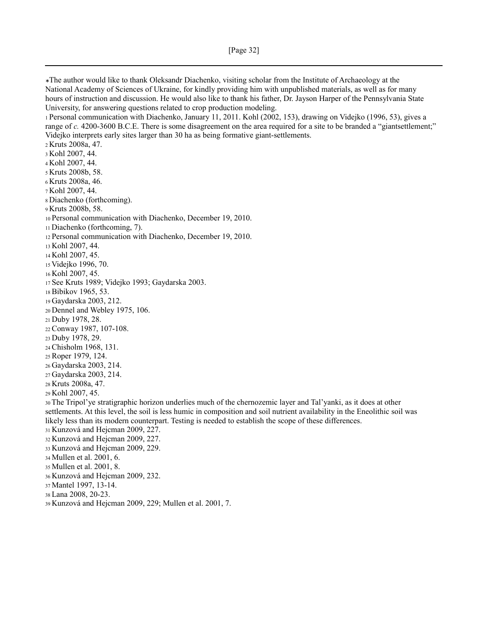<sup>∗</sup>The author would like to thank Oleksandr Diachenko, visiting scholar from the Institute of Archaeology at the National Academy of Sciences of Ukraine, for kindly providing him with unpublished materials, as well as for many hours of instruction and discussion. He would also like to thank his father, Dr. Jayson Harper of the Pennsylvania State University, for answering questions related to crop production modeling. Personal communication with Diachenko, January 11, 2011. Kohl (2002, 153), drawing on Videjko (1996, 53), gives a range of *c.* 4200-3600 B.C.E. There is some disagreement on the area required for a site to be branded a "giantsettlement;" Videjko interprets early sites larger than 30 ha as being formative giant-settlements. Kruts 2008a, 47. Kohl 2007, 44. Kohl 2007, 44. Kruts 2008b, 58. Kruts 2008a, 46. Kohl 2007, 44. Diachenko (forthcoming). Kruts 2008b, 58. 10 Personal communication with Diachenko, December 19, 2010. Diachenko (forthcoming, 7). 12 Personal communication with Diachenko, December 19, 2010. Kohl 2007, 44. Kohl 2007, 45. Videjko 1996, 70. Kohl 2007, 45. See Kruts 1989; Videjko 1993; Gaydarska 2003. Bibikov 1965, 53. Gaydarska 2003, 212. Dennel and Webley 1975, 106. Duby 1978, 28. Conway 1987, 107-108. Duby 1978, 29. Chisholm 1968, 131. Roper 1979, 124. Gaydarska 2003, 214. Gaydarska 2003, 214. Kruts 2008a, 47. Kohl 2007, 45. The Tripol'ye stratigraphic horizon underlies much of the chernozemic layer and Tal'yanki, as it does at other settlements. At this level, the soil is less humic in composition and soil nutrient availability in the Eneolithic soil was likely less than its modern counterpart. Testing is needed to establish the scope of these differences. Kunzová and Hejcman 2009, 227. Kunzová and Hejcman 2009, 227. Kunzová and Hejcman 2009, 229. Mullen et al. 2001, 6. Mullen et al. 2001, 8. Kunzová and Hejcman 2009, 232. Mantel 1997, 13-14. Lana 2008, 20-23.

Kunzová and Hejcman 2009, 229; Mullen et al. 2001, 7.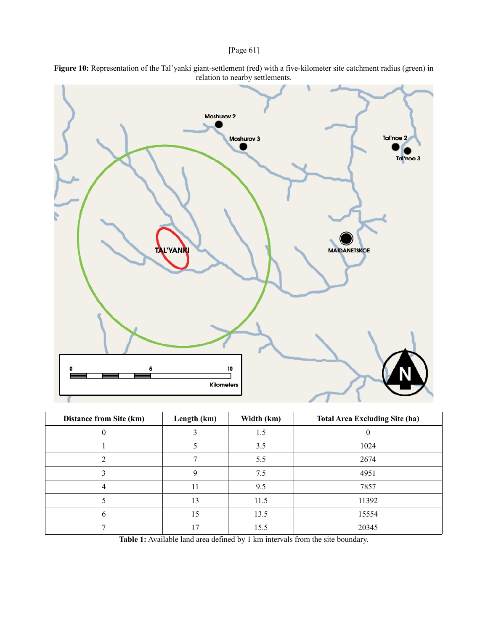## [Page 61]



**Figure 10:** Representation of the Tal'yanki giant-settlement (red) with a five-kilometer site catchment radius (green) in relation to nearby settlements.

| <b>Distance from Site (km)</b> | Length (km) | Width (km) | <b>Total Area Excluding Site (ha)</b> |  |
|--------------------------------|-------------|------------|---------------------------------------|--|
|                                |             | 1.5        |                                       |  |
|                                |             | 3.5        | 1024                                  |  |
|                                |             | 5.5        | 2674                                  |  |
|                                |             | 7.5        | 4951                                  |  |
|                                | 11          | 9.5        | 7857                                  |  |
|                                | 13          | 11.5       | 11392                                 |  |
|                                | 15          | 13.5       | 15554                                 |  |
|                                | 17          | 15.5       | 20345                                 |  |

**Table 1:** Available land area defined by 1 km intervals from the site boundary.